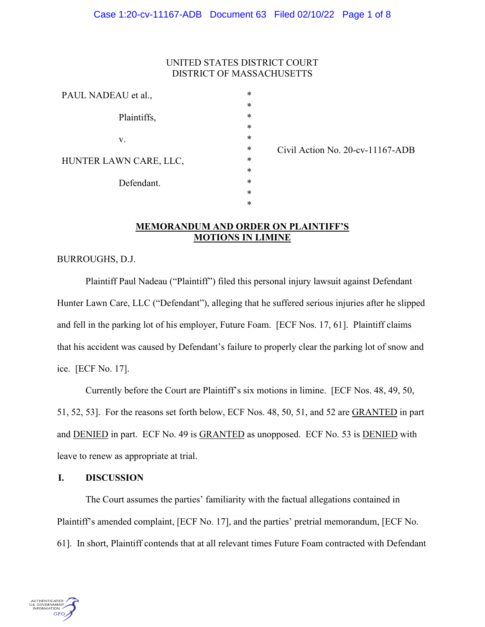### UNITED STATES DISTRICT COURT DISTRICT OF MASSACHUSETTS

| Plaintiffs,<br>V.<br>HUNTER LAWN CARE, LLC,<br>Defendant. | PAUL NADEAU et al., | *      |
|-----------------------------------------------------------|---------------------|--------|
|                                                           |                     | $\ast$ |
|                                                           |                     | $\ast$ |
|                                                           |                     | $\ast$ |
|                                                           |                     | $\ast$ |
|                                                           |                     | $\ast$ |
|                                                           |                     | $\ast$ |
|                                                           |                     | $\ast$ |
|                                                           |                     | $\ast$ |
|                                                           |                     | $\ast$ |
|                                                           |                     | $\ast$ |

Civil Action No. 20-cv-11167-ADB

## **MEMORANDUM AND ORDER ON PLAINTIFF'S MOTIONS IN LIMINE**

BURROUGHS, D.J.

Plaintiff Paul Nadeau ("Plaintiff") filed this personal injury lawsuit against Defendant Hunter Lawn Care, LLC ("Defendant"), alleging that he suffered serious injuries after he slipped and fell in the parking lot of his employer, Future Foam. [ECF Nos. 17, 61]. Plaintiff claims that his accident was caused by Defendant's failure to properly clear the parking lot of snow and ice. [ECF No. 17].

Currently before the Court are Plaintiff's six motions in limine. [ECF Nos. 48, 49, 50, 51, 52, 53]. For the reasons set forth below, ECF Nos. 48, 50, 51, and 52 are GRANTED in part and DENIED in part. ECF No. 49 is GRANTED as unopposed. ECF No. 53 is DENIED with leave to renew as appropriate at trial.

#### **I. DISCUSSION**

The Court assumes the parties' familiarity with the factual allegations contained in Plaintiff's amended complaint, [ECF No. 17], and the parties' pretrial memorandum, [ECF No. 61]. In short, Plaintiff contends that at all relevant times Future Foam contracted with Defendant

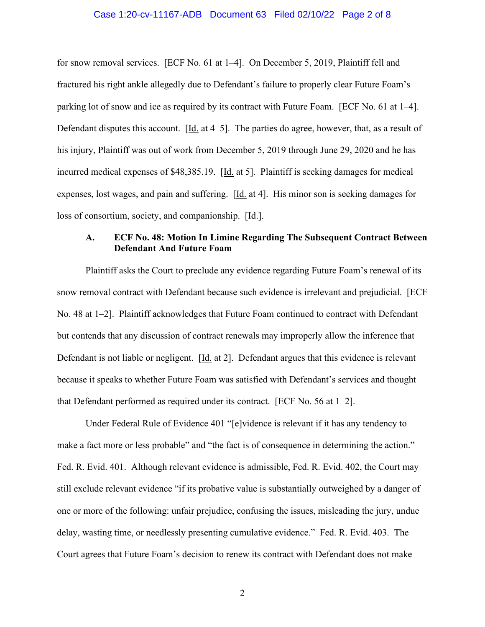#### Case 1:20-cv-11167-ADB Document 63 Filed 02/10/22 Page 2 of 8

for snow removal services. [ECF No. 61 at 1–4]. On December 5, 2019, Plaintiff fell and fractured his right ankle allegedly due to Defendant's failure to properly clear Future Foam's parking lot of snow and ice as required by its contract with Future Foam. [ECF No. 61 at 1–4]. Defendant disputes this account. [Id. at 4–5]. The parties do agree, however, that, as a result of his injury, Plaintiff was out of work from December 5, 2019 through June 29, 2020 and he has incurred medical expenses of \$48,385.19. [Id. at 5]. Plaintiff is seeking damages for medical expenses, lost wages, and pain and suffering. [Id. at 4]. His minor son is seeking damages for loss of consortium, society, and companionship. [Id.].

# **A. ECF No. 48: Motion In Limine Regarding The Subsequent Contract Between Defendant And Future Foam**

Plaintiff asks the Court to preclude any evidence regarding Future Foam's renewal of its snow removal contract with Defendant because such evidence is irrelevant and prejudicial. [ECF No. 48 at 1–2]. Plaintiff acknowledges that Future Foam continued to contract with Defendant but contends that any discussion of contract renewals may improperly allow the inference that Defendant is not liable or negligent. [Id. at 2]. Defendant argues that this evidence is relevant because it speaks to whether Future Foam was satisfied with Defendant's services and thought that Defendant performed as required under its contract. [ECF No. 56 at 1–2].

Under Federal Rule of Evidence 401 "[e]vidence is relevant if it has any tendency to make a fact more or less probable" and "the fact is of consequence in determining the action." Fed. R. Evid. 401. Although relevant evidence is admissible, Fed. R. Evid. 402, the Court may still exclude relevant evidence "if its probative value is substantially outweighed by a danger of one or more of the following: unfair prejudice, confusing the issues, misleading the jury, undue delay, wasting time, or needlessly presenting cumulative evidence." Fed. R. Evid. 403. The Court agrees that Future Foam's decision to renew its contract with Defendant does not make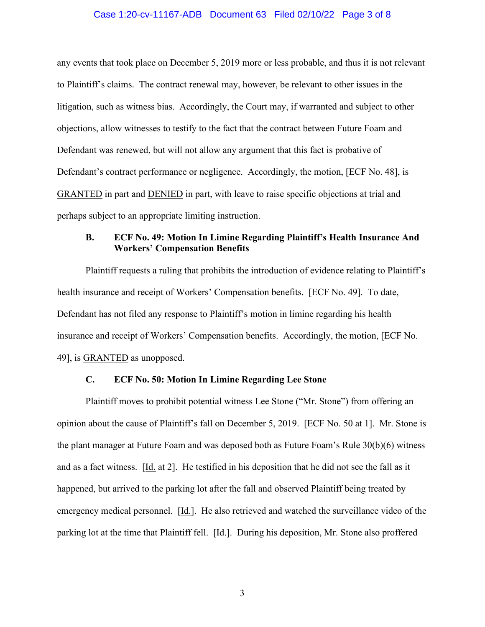#### Case 1:20-cv-11167-ADB Document 63 Filed 02/10/22 Page 3 of 8

any events that took place on December 5, 2019 more or less probable, and thus it is not relevant to Plaintiff's claims. The contract renewal may, however, be relevant to other issues in the litigation, such as witness bias. Accordingly, the Court may, if warranted and subject to other objections, allow witnesses to testify to the fact that the contract between Future Foam and Defendant was renewed, but will not allow any argument that this fact is probative of Defendant's contract performance or negligence. Accordingly, the motion, [ECF No. 48], is GRANTED in part and DENIED in part, with leave to raise specific objections at trial and perhaps subject to an appropriate limiting instruction.

# **B. ECF No. 49: Motion In Limine Regarding Plaintiff's Health Insurance And Workers' Compensation Benefits**

Plaintiff requests a ruling that prohibits the introduction of evidence relating to Plaintiff's health insurance and receipt of Workers' Compensation benefits. [ECF No. 49]. To date, Defendant has not filed any response to Plaintiff's motion in limine regarding his health insurance and receipt of Workers' Compensation benefits. Accordingly, the motion, [ECF No. 49], is GRANTED as unopposed.

#### **C. ECF No. 50: Motion In Limine Regarding Lee Stone**

 Plaintiff moves to prohibit potential witness Lee Stone ("Mr. Stone") from offering an opinion about the cause of Plaintiff's fall on December 5, 2019. [ECF No. 50 at 1]. Mr. Stone is the plant manager at Future Foam and was deposed both as Future Foam's Rule 30(b)(6) witness and as a fact witness. [Id. at 2]. He testified in his deposition that he did not see the fall as it happened, but arrived to the parking lot after the fall and observed Plaintiff being treated by emergency medical personnel. [Id.]. He also retrieved and watched the surveillance video of the parking lot at the time that Plaintiff fell. [Id.]. During his deposition, Mr. Stone also proffered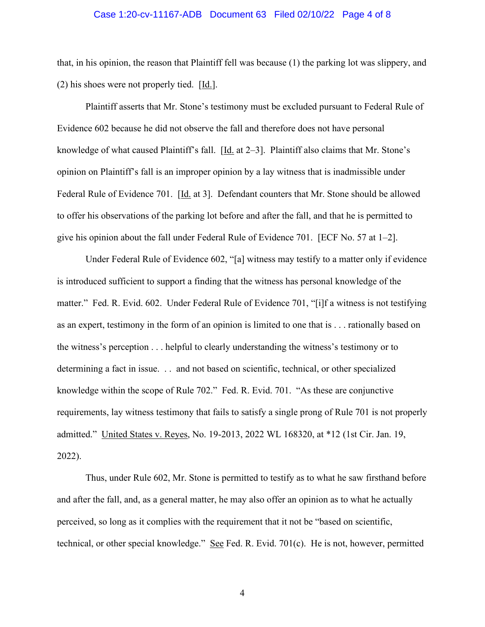#### Case 1:20-cv-11167-ADB Document 63 Filed 02/10/22 Page 4 of 8

that, in his opinion, the reason that Plaintiff fell was because (1) the parking lot was slippery, and (2) his shoes were not properly tied. [Id.].

Plaintiff asserts that Mr. Stone's testimony must be excluded pursuant to Federal Rule of Evidence 602 because he did not observe the fall and therefore does not have personal knowledge of what caused Plaintiff's fall. [Id. at 2–3]. Plaintiff also claims that Mr. Stone's opinion on Plaintiff's fall is an improper opinion by a lay witness that is inadmissible under Federal Rule of Evidence 701. [Id. at 3]. Defendant counters that Mr. Stone should be allowed to offer his observations of the parking lot before and after the fall, and that he is permitted to give his opinion about the fall under Federal Rule of Evidence 701. [ECF No. 57 at 1–2].

Under Federal Rule of Evidence 602, "[a] witness may testify to a matter only if evidence is introduced sufficient to support a finding that the witness has personal knowledge of the matter." Fed. R. Evid. 602. Under Federal Rule of Evidence 701, "[i]f a witness is not testifying as an expert, testimony in the form of an opinion is limited to one that is . . . rationally based on the witness's perception . . . helpful to clearly understanding the witness's testimony or to determining a fact in issue. . . and not based on scientific, technical, or other specialized knowledge within the scope of Rule 702." Fed. R. Evid. 701. "As these are conjunctive requirements, lay witness testimony that fails to satisfy a single prong of Rule 701 is not properly admitted." United States v. Reyes, No. 19-2013, 2022 WL 168320, at \*12 (1st Cir. Jan. 19, 2022).

Thus, under Rule 602, Mr. Stone is permitted to testify as to what he saw firsthand before and after the fall, and, as a general matter, he may also offer an opinion as to what he actually perceived, so long as it complies with the requirement that it not be "based on scientific, technical, or other special knowledge." See Fed. R. Evid. 701(c). He is not, however, permitted

4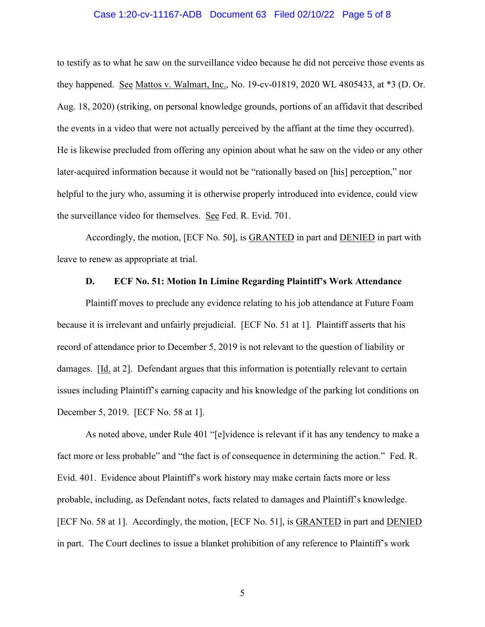#### Case 1:20-cv-11167-ADB Document 63 Filed 02/10/22 Page 5 of 8

to testify as to what he saw on the surveillance video because he did not perceive those events as they happened. See Mattos v. Walmart, Inc., No. 19-cv-01819, 2020 WL 4805433, at \*3 (D. Or. Aug. 18, 2020) (striking, on personal knowledge grounds, portions of an affidavit that described the events in a video that were not actually perceived by the affiant at the time they occurred). He is likewise precluded from offering any opinion about what he saw on the video or any other later-acquired information because it would not be "rationally based on [his] perception," nor helpful to the jury who, assuming it is otherwise properly introduced into evidence, could view the surveillance video for themselves. See Fed. R. Evid. 701.

Accordingly, the motion, [ECF No. 50], is GRANTED in part and DENIED in part with leave to renew as appropriate at trial.

#### **D. ECF No. 51: Motion In Limine Regarding Plaintiff's Work Attendance**

Plaintiff moves to preclude any evidence relating to his job attendance at Future Foam because it is irrelevant and unfairly prejudicial. [ECF No. 51 at 1]. Plaintiff asserts that his record of attendance prior to December 5, 2019 is not relevant to the question of liability or damages. [Id. at 2]. Defendant argues that this information is potentially relevant to certain issues including Plaintiff's earning capacity and his knowledge of the parking lot conditions on December 5, 2019. [ECF No. 58 at 1].

As noted above, under Rule 401 "[e]vidence is relevant if it has any tendency to make a fact more or less probable" and "the fact is of consequence in determining the action." Fed. R. Evid. 401. Evidence about Plaintiff's work history may make certain facts more or less probable, including, as Defendant notes, facts related to damages and Plaintiff's knowledge. [ECF No. 58 at 1]. Accordingly, the motion, [ECF No. 51], is GRANTED in part and DENIED in part. The Court declines to issue a blanket prohibition of any reference to Plaintiff's work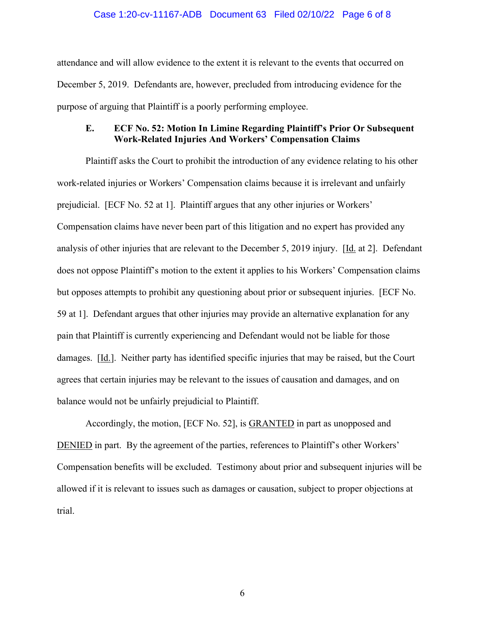#### Case 1:20-cv-11167-ADB Document 63 Filed 02/10/22 Page 6 of 8

attendance and will allow evidence to the extent it is relevant to the events that occurred on December 5, 2019. Defendants are, however, precluded from introducing evidence for the purpose of arguing that Plaintiff is a poorly performing employee.

### **E. ECF No. 52: Motion In Limine Regarding Plaintiff's Prior Or Subsequent Work-Related Injuries And Workers' Compensation Claims**

Plaintiff asks the Court to prohibit the introduction of any evidence relating to his other work-related injuries or Workers' Compensation claims because it is irrelevant and unfairly prejudicial. [ECF No. 52 at 1]. Plaintiff argues that any other injuries or Workers' Compensation claims have never been part of this litigation and no expert has provided any analysis of other injuries that are relevant to the December 5, 2019 injury. [Id. at 2]. Defendant does not oppose Plaintiff's motion to the extent it applies to his Workers' Compensation claims but opposes attempts to prohibit any questioning about prior or subsequent injuries. [ECF No. 59 at 1]. Defendant argues that other injuries may provide an alternative explanation for any pain that Plaintiff is currently experiencing and Defendant would not be liable for those damages. [Id.]. Neither party has identified specific injuries that may be raised, but the Court agrees that certain injuries may be relevant to the issues of causation and damages, and on balance would not be unfairly prejudicial to Plaintiff.

Accordingly, the motion, [ECF No. 52], is **GRANTED** in part as unopposed and DENIED in part. By the agreement of the parties, references to Plaintiff's other Workers' Compensation benefits will be excluded. Testimony about prior and subsequent injuries will be allowed if it is relevant to issues such as damages or causation, subject to proper objections at trial.

6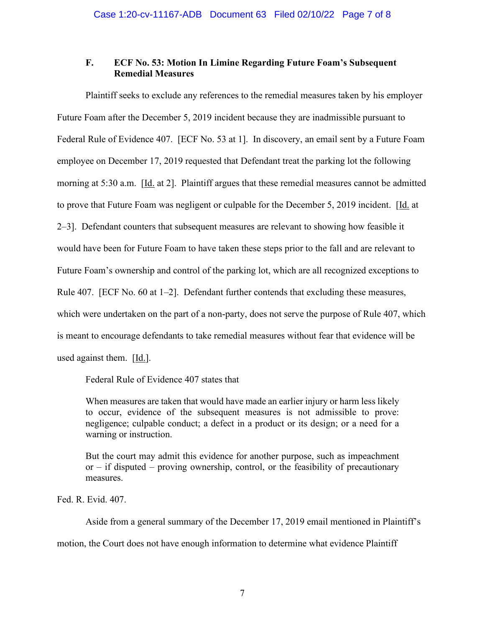## **F. ECF No. 53: Motion In Limine Regarding Future Foam's Subsequent Remedial Measures**

Plaintiff seeks to exclude any references to the remedial measures taken by his employer Future Foam after the December 5, 2019 incident because they are inadmissible pursuant to Federal Rule of Evidence 407. [ECF No. 53 at 1]. In discovery, an email sent by a Future Foam employee on December 17, 2019 requested that Defendant treat the parking lot the following morning at 5:30 a.m. [Id. at 2]. Plaintiff argues that these remedial measures cannot be admitted to prove that Future Foam was negligent or culpable for the December 5, 2019 incident. [Id. at 2–3]. Defendant counters that subsequent measures are relevant to showing how feasible it would have been for Future Foam to have taken these steps prior to the fall and are relevant to Future Foam's ownership and control of the parking lot, which are all recognized exceptions to Rule 407. [ECF No. 60 at 1–2]. Defendant further contends that excluding these measures, which were undertaken on the part of a non-party, does not serve the purpose of Rule 407, which is meant to encourage defendants to take remedial measures without fear that evidence will be used against them. [Id.].

Federal Rule of Evidence 407 states that

When measures are taken that would have made an earlier injury or harm less likely to occur, evidence of the subsequent measures is not admissible to prove: negligence; culpable conduct; a defect in a product or its design; or a need for a warning or instruction.

But the court may admit this evidence for another purpose, such as impeachment or – if disputed – proving ownership, control, or the feasibility of precautionary measures.

Fed. R. Evid. 407.

Aside from a general summary of the December 17, 2019 email mentioned in Plaintiff's

motion, the Court does not have enough information to determine what evidence Plaintiff